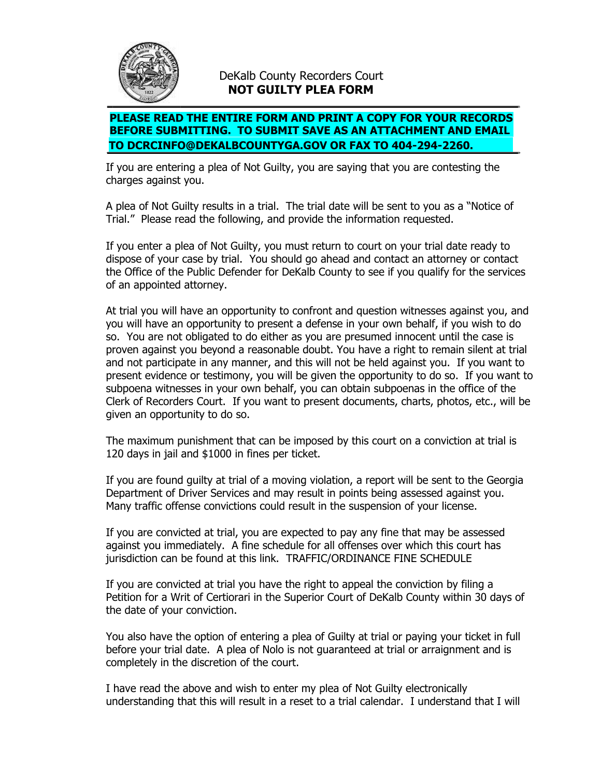

## DeKalb County Recorders Court **NOT GUILTY PLEA FORM**

## **PLEASE READ THE ENTIRE FORM AND PRINT A COPY FOR YOUR RECORDS BEFORE SUBMITTING. TO SUBMIT SAVE AS AN ATTACHMENT AND EMAIL TO DCRCINFO@DEKALBCOUNTYGA.GOV OR FAX TO 404-294-2260.**

If you are entering a plea of Not Guilty, you are saying that you are contesting the charges against you.

A plea of Not Guilty results in a trial. The trial date will be sent to you as a "Notice of Trial." Please read the following, and provide the information requested.

If you enter a plea of Not Guilty, you must return to court on your trial date ready to dispose of your case by trial. You should go ahead and contact an attorney or contact the Office of the Public Defender for DeKalb County to see if you qualify for the services of an appointed attorney.

At trial you will have an opportunity to confront and question witnesses against you, and you will have an opportunity to present a defense in your own behalf, if you wish to do so. You are not obligated to do either as you are presumed innocent until the case is proven against you beyond a reasonable doubt. You have a right to remain silent at trial and not participate in any manner, and this will not be held against you. If you want to present evidence or testimony, you will be given the opportunity to do so. If you want to subpoena witnesses in your own behalf, you can obtain subpoenas in the office of the Clerk of Recorders Court. If you want to present documents, charts, photos, etc., will be given an opportunity to do so.

The maximum punishment that can be imposed by this court on a conviction at trial is 120 days in jail and \$1000 in fines per ticket.

If you are found guilty at trial of a moving violation, a report will be sent to the Georgia Department of Driver Services and may result in points being assessed against you. Many traffic offense convictions could result in the suspension of your license.

If you are convicted at trial, you are expected to pay any fine that may be assessed against you immediately. A fine schedule for all offenses over which this court has jurisdiction can be found at this link. TRAFFIC/ORDINANCE FINE SCHEDULE

If you are convicted at trial you have the right to appeal the conviction by filing a Petition for a Writ of Certiorari in the Superior Court of DeKalb County within 30 days of the date of your conviction.

You also have the option of entering a plea of Guilty at trial or paying your ticket in full before your trial date. A plea of Nolo is not guaranteed at trial or arraignment and is completely in the discretion of the court.

I have read the above and wish to enter my plea of Not Guilty electronically understanding that this will result in a reset to a trial calendar. I understand that I will